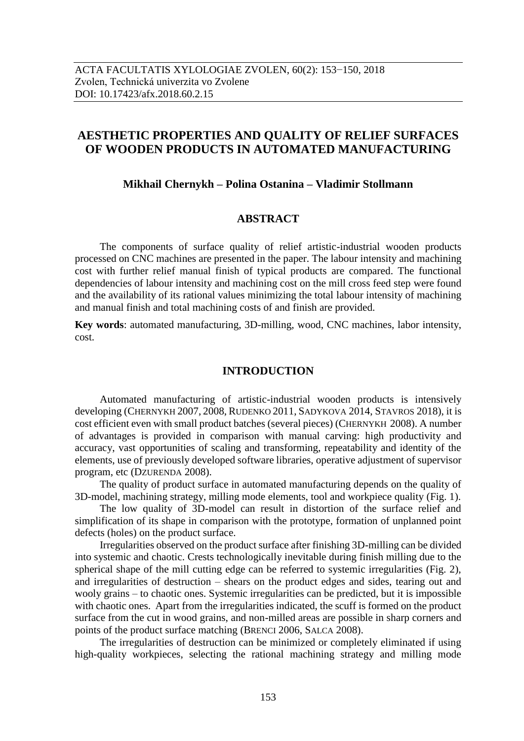## **AESTHETIC PROPERTIES AND QUALITY OF RELIEF SURFACES OF WOODEN PRODUCTS IN AUTOMATED MANUFACTURING**

#### **Mikhail Chernykh – Polina Ostanina – Vladimir Stollmann**

### **ABSTRACT**

The components of surface quality of relief artistic-industrial wooden products processed on CNC machines are presented in the paper. The labour intensity and machining cost with further relief manual finish of typical products are compared. The functional dependencies of labour intensity and machining cost on the mill cross feed step were found and the availability of its rational values minimizing the total labour intensity of machining and manual finish and total machining costs of and finish are provided.

**Key words**: automated manufacturing, 3D-milling, wood, CNC machines, labor intensity, cost.

#### **INTRODUCTION**

Automated manufacturing of artistic-industrial wooden products is intensively developing (CHERNYKH 2007, 2008, RUDENKO 2011, SADYKOVA 2014, STAVROS 2018), it is cost efficient even with small product batches (several pieces) (CHERNYKH 2008). A number of advantages is provided in comparison with manual carving: high productivity and accuracy, vast opportunities of scaling and transforming, repeatability and identity of the elements, use of previously developed software libraries, operative adjustment of supervisor program, etc (DZURENDA 2008).

The quality of product surface in automated manufacturing depends on the quality of 3D-model, machining strategy, milling mode elements, tool and workpiece quality (Fig. 1).

The low quality of 3D-model can result in distortion of the surface relief and simplification of its shape in comparison with the prototype, formation of unplanned point defects (holes) on the product surface.

Irregularities observed on the product surface after finishing 3D-milling can be divided into systemic and chaotic. Crests technologically inevitable during finish milling due to the spherical shape of the mill cutting edge can be referred to systemic irregularities (Fig. 2), and irregularities of destruction – shears on the product edges and sides, tearing out and wooly grains – to chaotic ones. Systemic irregularities can be predicted, but it is impossible with chaotic ones. Apart from the irregularities indicated, the scuff is formed on the product surface from the cut in wood grains, and non-milled areas are possible in sharp corners and points of the product surface matching (BRENCI 2006, SALCA 2008).

The irregularities of destruction can be minimized or completely eliminated if using high-quality workpieces, selecting the rational machining strategy and milling mode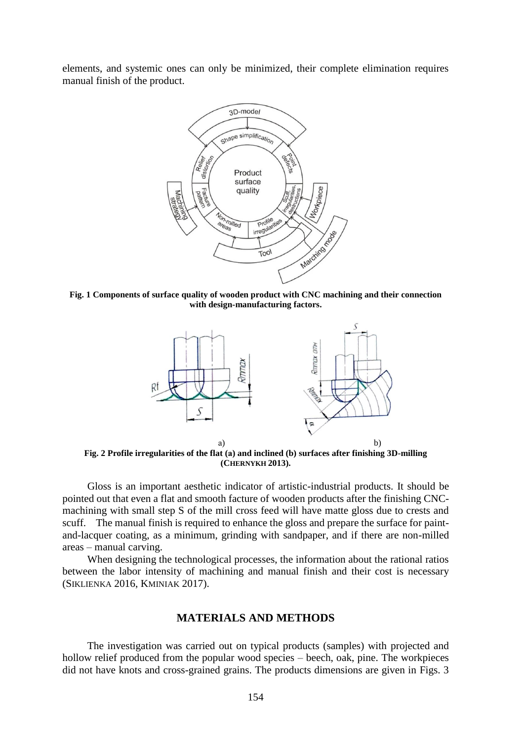elements, and systemic ones can only be minimized, their complete elimination requires manual finish of the product.



**Fig. 1 Components of surface quality of wooden product with CNC machining and their connection with design-manufacturing factors.**



**Fig. 2 Profile irregularities of the flat (а) and inclined (b) surfaces after finishing 3D-milling (CHERNYKH 2013).**

Gloss is an important aesthetic indicator of artistic-industrial products. It should be pointed out that even a flat and smooth facture of wooden products after the finishing CNCmachining with small step S of the mill cross feed will have matte gloss due to crests and scuff. The manual finish is required to enhance the gloss and prepare the surface for paintand-lacquer coating, as a minimum, grinding with sandpaper, and if there are non-milled areas – manual carving.

When designing the technological processes, the information about the rational ratios between the labor intensity of machining and manual finish and their cost is necessary (SIKLIENKA 2016, KMINIAK 2017).

#### **MATERIALS AND METHODS**

The investigation was carried out on typical products (samples) with projected and hollow relief produced from the popular wood species – beech, oak, pine. The workpieces did not have knots and cross-grained grains. The products dimensions are given in Figs. 3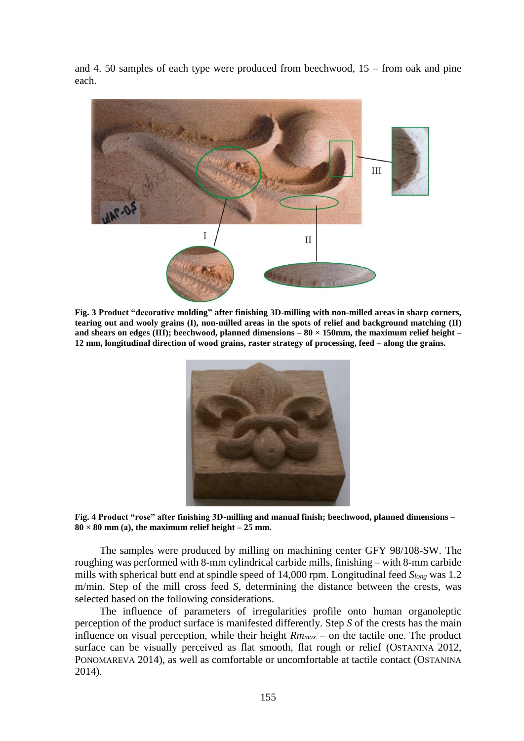and 4. 50 samples of each type were produced from beechwood, 15 – from oak and pine each.



**Fig. 3 Product "decorative molding" after finishing 3D-milling with non-milled areas in sharp corners, tearing out and wooly grains (I), non-milled areas in the spots of relief and background matching (II) and shears on edges (III); beechwood, planned dimensions – 80 × 150mm, the maximum relief height – 12 mm, longitudinal direction of wood grains, raster strategy of processing, feed – along the grains.**



**Fig. 4 Product "rose" after finishing 3D-milling and manual finish; beechwood, planned dimensions –**  $80 \times 80$  mm (a), the maximum relief height – 25 mm.

The samples were produced by milling on machining center GFY 98/108-SW. The roughing was performed with 8-mm cylindrical carbide mills, finishing – with 8-mm carbide mills with spherical butt end at spindle speed of 14,000 rpm. Longitudinal feed *Slong* was 1.2 m/min. Step of the mill cross feed *S*, determining the distance between the crests, was selected based on the following considerations.

The influence of parameters of irregularities profile onto human organoleptic perception of the product surface is manifested differently. Step *S* of the crests has the main influence on visual perception, while their height *Rmmax.* – on the tactile one. The product surface can be visually perceived as flat smooth, flat rough or relief (OSTANINA 2012, PONOMAREVA 2014), as well as comfortable or uncomfortable at tactile contact (OSTANINA 2014).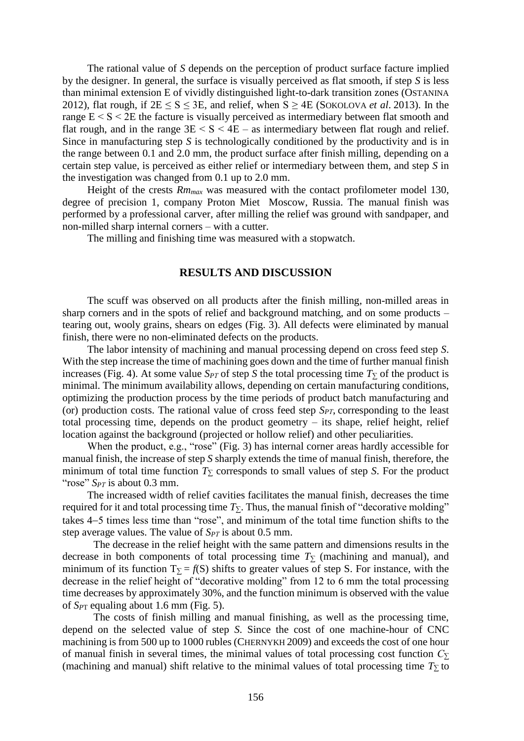The rational value of *S* depends on the perception of product surface facture implied by the designer. In general, the surface is visually perceived as flat smooth, if step *S* is less than minimal extension E of vividly distinguished light-to-dark transition zones (OSTANINA 2012), flat rough, if  $2E \le S \le 3E$ , and relief, when  $S \ge 4E$  (SOKOLOVA *et al.* 2013). In the range  $E < S < 2E$  the facture is visually perceived as intermediary between flat smooth and flat rough, and in the range  $3E < S < 4E$  – as intermediary between flat rough and relief. Since in manufacturing step *S* is technologically conditioned by the productivity and is in the range between 0.1 and 2.0 mm, the product surface after finish milling, depending on a certain step value, is perceived as either relief or intermediary between them, and step *S* in the investigation was changed from 0.1 up to 2.0 mm.

Height of the crests *Rmmax* was measured with the contact profilometer model 130, degree of precision 1, company Proton Miet Moscow, Russia. The manual finish was performed by a professional carver, after milling the relief was ground with sandpaper, and non-milled sharp internal corners – with a cutter.

The milling and finishing time was measured with a stopwatch.

#### **RESULTS AND DISCUSSION**

The scuff was observed on all products after the finish milling, non-milled areas in sharp corners and in the spots of relief and background matching, and on some products – tearing out, wooly grains, shears on edges (Fig. 3). All defects were eliminated by manual finish, there were no non-eliminated defects on the products.

The labor intensity of machining and manual processing depend on cross feed step *S*. With the step increase the time of machining goes down and the time of further manual finish increases (Fig. 4). At some value  $S_{PT}$  of step *S* the total processing time  $T_{\Sigma}$  of the product is minimal. The minimum availability allows, depending on certain manufacturing conditions, optimizing the production process by the time periods of product batch manufacturing and (or) production costs. The rational value of cross feed step *SPТ*, corresponding to the least total processing time, depends on the product geometry – its shape, relief height, relief location against the background (projected or hollow relief) and other peculiarities.

When the product, e.g., "rose" (Fig. 3) has internal corner areas hardly accessible for manual finish, the increase of step *S* sharply extends the time of manual finish, therefore, the minimum of total time function *T<sup>∑</sup>* corresponds to small values of step *S*. For the product "rose" *S<sub>PT</sub>* is about 0.3 mm.

The increased width of relief cavities facilitates the manual finish, decreases the time required for it and total processing time  $T<sub>Σ</sub>$ . Thus, the manual finish of "decorative molding" takes 4–5 times less time than "rose", and minimum of the total time function shifts to the step average values. The value of  $S_{PT}$  is about 0.5 mm.

The decrease in the relief height with the same pattern and dimensions results in the decrease in both components of total processing time  $T<sub>Σ</sub>$  (machining and manual), and minimum of its function  $T_{\Sigma} = f(S)$  shifts to greater values of step S. For instance, with the decrease in the relief height of "decorative molding" from 12 to 6 mm the total processing time decreases by approximately 30%, and the function minimum is observed with the value of  $S_{PT}$  equaling about 1.6 mm (Fig. 5).

The costs of finish milling and manual finishing, as well as the processing time, depend on the selected value of step *S*. Since the cost of one machine-hour of CNC machining is from 500 up to 1000 rubles (CHERNYKH 2009) and exceeds the cost of one hour of manual finish in several times, the minimal values of total processing cost function *С<sup>∑</sup>* (machining and manual) shift relative to the minimal values of total processing time  $T_\Sigma$  to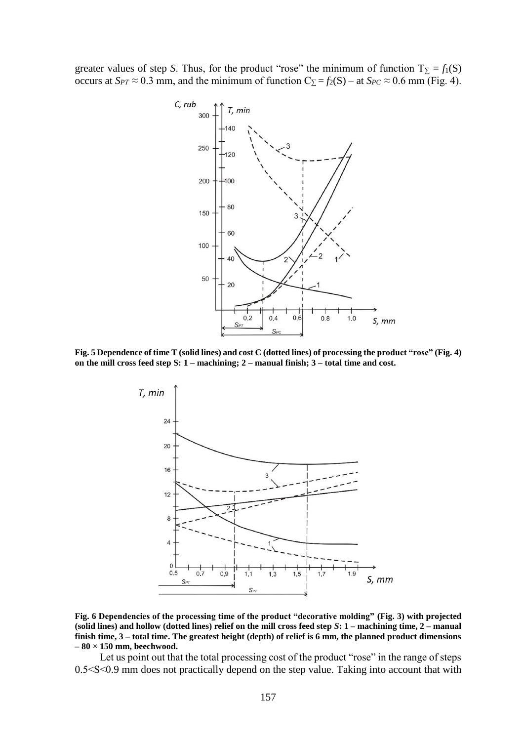greater values of step *S*. Thus, for the product "rose" the minimum of function  $T_{\Sigma} = f_1(S)$ occurs at  $S_{PT} \approx 0.3$  mm, and the minimum of function  $C_{\Sigma} = f_2(S) -$  at  $S_{PC} \approx 0.6$  mm (Fig. 4).



**Fig. 5 Dependence of time T (solid lines) and cost C (dotted lines) of processing the product "rose" (Fig. 4) on the mill cross feed step S: 1 – machining; 2 – manual finish; 3 – total time and cost.**



**Fig. 6 Dependencies of the processing time of the product "decorative molding" (Fig. 3) with projected (solid lines) and hollow (dotted lines) relief on the mill cross feed step** *S***: 1 – machining time, 2 – manual finish time, 3 – total time. The greatest height (depth) of relief is 6 mm, the planned product dimensions – 80 × 150 mm, beechwood.**

Let us point out that the total processing cost of the product "rose" in the range of steps 0.5˂S˂0.9 mm does not practically depend on the step value. Taking into account that with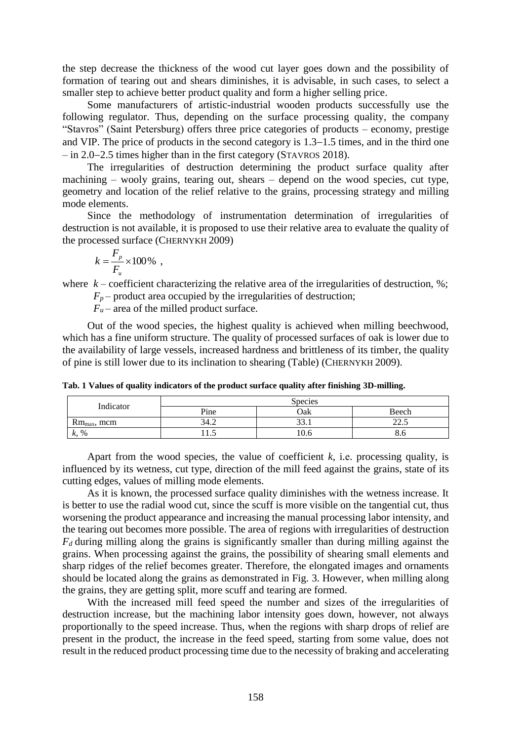the step decrease the thickness of the wood cut layer goes down and the possibility of formation of tearing out and shears diminishes, it is advisable, in such cases, to select a smaller step to achieve better product quality and form a higher selling price.

Some manufacturers of artistic-industrial wooden products successfully use the following regulator. Thus, depending on the surface processing quality, the company "Stavros" (Saint Petersburg) offers three price categories of products – economy, prestige and VIP. The price of products in the second category is  $1.3-1.5$  times, and in the third one  $-$  in 2.0–2.5 times higher than in the first category (STAVROS 2018).

The irregularities of destruction determining the product surface quality after machining – wooly grains, tearing out, shears – depend on the wood species, cut type, geometry and location of the relief relative to the grains, processing strategy and milling mode elements.

Since the methodology of instrumentation determination of irregularities of destruction is not available, it is proposed to use their relative area to evaluate the quality of the processed surface (CHERNYKH 2009)

$$
k = \frac{F_p}{F_u} \times 100\% ,
$$

where  $k$  – coefficient characterizing the relative area of the irregularities of destruction,  $\%$ ;

 $F_p$  – product area occupied by the irregularities of destruction;

 $F_u$  – area of the milled product surface.

Out of the wood species, the highest quality is achieved when milling beechwood, which has a fine uniform structure. The quality of processed surfaces of oak is lower due to the availability of large vessels, increased hardness and brittleness of its timber, the quality of pine is still lower due to its inclination to shearing (Table) (CHERNYKH 2009).

**Tab. 1 Values of quality indicators of the product surface quality after finishing 3D-milling.**

| Indicator        | <b>Species</b> |      |                               |
|------------------|----------------|------|-------------------------------|
|                  | Pine           | Oak  | Beech                         |
| $Rm_{max}$ , mcm | 34.2           | 33.1 | nn<br>ل و سایک                |
| $k, \%$          | .              | 10.6 | $\mathbf{o} \cdot \mathbf{v}$ |

Apart from the wood species, the value of coefficient *k*, i.е. processing quality, is influenced by its wetness, cut type, direction of the mill feed against the grains, state of its cutting edges, values of milling mode elements.

As it is known, the processed surface quality diminishes with the wetness increase. It is better to use the radial wood cut, since the scuff is more visible on the tangential cut, thus worsening the product appearance and increasing the manual processing labor intensity, and the tearing out becomes more possible. The area of regions with irregularities of destruction  $F_d$  during milling along the grains is significantly smaller than during milling against the grains. When processing against the grains, the possibility of shearing small elements and sharp ridges of the relief becomes greater. Therefore, the elongated images and ornaments should be located along the grains as demonstrated in Fig. 3. However, when milling along the grains, they are getting split, more scuff and tearing are formed.

With the increased mill feed speed the number and sizes of the irregularities of destruction increase, but the machining labor intensity goes down, however, not always proportionally to the speed increase. Thus, when the regions with sharp drops of relief are present in the product, the increase in the feed speed, starting from some value, does not result in the reduced product processing time due to the necessity of braking and accelerating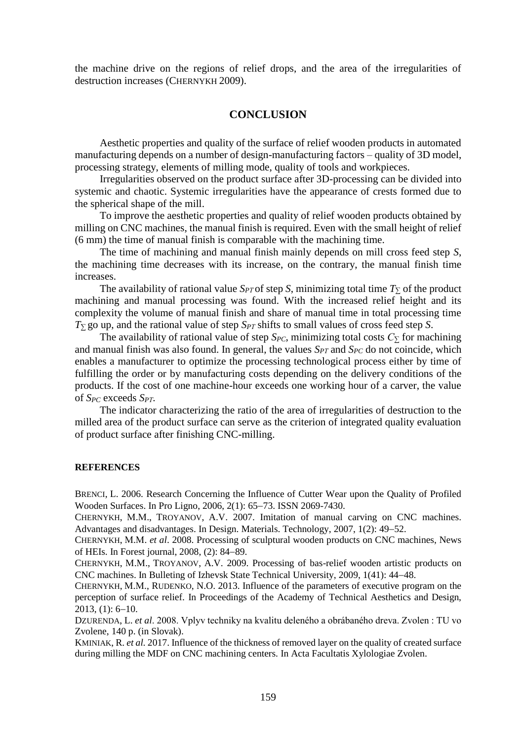the machine drive on the regions of relief drops, and the area of the irregularities of destruction increases (CHERNYKH 2009).

#### **CONCLUSION**

Aesthetic properties and quality of the surface of relief wooden products in automated manufacturing depends on a number of design-manufacturing factors – quality of 3D model, processing strategy, elements of milling mode, quality of tools and workpieces.

Irregularities observed on the product surface after 3D-processing can be divided into systemic and chaotic. Systemic irregularities have the appearance of crests formed due to the spherical shape of the mill.

To improve the aesthetic properties and quality of relief wooden products obtained by milling on CNC machines, the manual finish is required. Even with the small height of relief (6 mm) the time of manual finish is comparable with the machining time.

The time of machining and manual finish mainly depends on mill cross feed step *S*, the machining time decreases with its increase, on the contrary, the manual finish time increases.

The availability of rational value  $S_{PT}$  of step *S*, minimizing total time  $T<sub>2</sub>$  of the product machining and manual processing was found. With the increased relief height and its complexity the volume of manual finish and share of manual time in total processing time *T<sup>∑</sup>* go up, and the rational value of step *SPТ* shifts to small values of cross feed step *S*.

The availability of rational value of step  $S_{PC}$ , minimizing total costs  $C_{\Sigma}$  for machining and manual finish was also found. In general, the values *SPТ* and *SPC* do not coincide, which enables a manufacturer to optimize the processing technological process either by time of fulfilling the order or by manufacturing costs depending on the delivery conditions of the products. If the cost of one machine-hour exceeds one working hour of a carver, the value of *SPC* exceeds *SPТ*.

The indicator characterizing the ratio of the area of irregularities of destruction to the milled area of the product surface can serve as the criterion of integrated quality evaluation of product surface after finishing CNC-milling.

#### **REFERENCES**

BRENCI, L. 2006. Research Concerning the Influence of Cutter Wear upon the Quality of Profiled Wooden Surfaces. In Pro Ligno, 2006, 2(1): 65–73. ISSN 2069-7430.

CHERNYKH, М.М., TROYANOV, A.V. 2007. Imitation of manual carving on CNC machines. Advantages and disadvantages. In Design. Materials. Technology, 2007, 1(2): 49–52.

CHERNYKH, М.М. *et al*. 2008. Processing of sculptural wooden products on CNC machines, News of HEIs. In Forest journal,  $2008$ ,  $(2)$ :  $84-89$ .

CHERNYKH, М.М., TROYANOV, A.V. 2009. Processing of bas-relief wooden artistic products on CNC machines. In Bulleting of Izhevsk State Technical University, 2009, 1(41): 44–48.

CHERNYKH, М.М., RUDENKO, N.O. 2013. Influence of the parameters of executive program on the perception of surface relief. In Proceedings of the Academy of Technical Aesthetics and Design,  $2013, (1): 6-10.$ 

DZURENDA, L. *et al*. 2008. Vplyv techniky na kvalitu deleného a obrábaného dreva. Zvolen : TU vo Zvolene, 140 p. (in Slovak).

KMINIAK, R. *et al.* 2017. Influence of the thickness of removed layer on the quality of created surface during milling the MDF on CNC machining centers. In Acta Facultatis Xylologiae Zvolen.